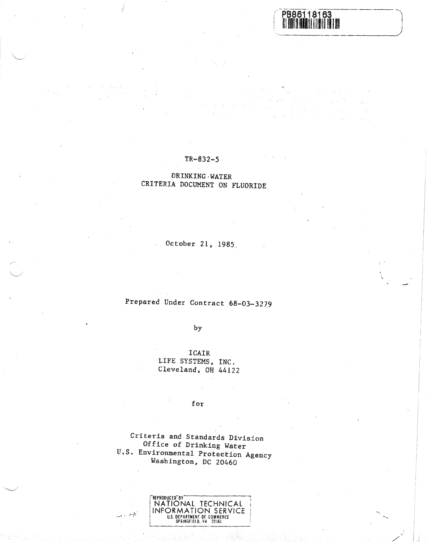8163

.<br>Taler en skriver en S  $\left\langle \left( \mathbf{x},\mathbf{y}^{(n)}\right) \right\rangle \leq \left\langle \mathbf{x}^{(n)}\right\rangle _{2} \left\langle \mathbf{x}^{(n)}\right\rangle _{2} \leq \left\langle \left( \mathbf{x}^{(n)}\right) \right\rangle _{2} \leq \left\langle \left( \mathbf{x}^{(n)}\right) \right\rangle _{2} \leq \left\langle \left( \mathbf{x}^{(n)}\right) \right\rangle _{2} \leq \left\langle \left( \mathbf{x}^{(n)}\right) \right\rangle _{2} \leq \left\langle \left( \mathbf{x}^{(n)}\right) \right\rangle$ 

## $TR - 832 - 5$

## **DRINKING WATER** CRITERIA DOCUMENT ON FLUORIDE

October 21, 1985

Prepared Under Contract 68-03-3279

by

ICAIR LIFE SYSTEMS, INC. Cleveland, OH 44122

for

Criteria and Standards Division Office of Drinking Water U.S. Environmental Protection Agency Washington, DC 20460

| <b>REPRODUCED BY</b>        |
|-----------------------------|
| NATIONAL TECHNICAL          |
| INFORMATION SERVICE         |
| U.S. DEPARTMENT OF COMMERCE |
| SPRINGFIELD. VA 22161       |

البطيع أوالحلب